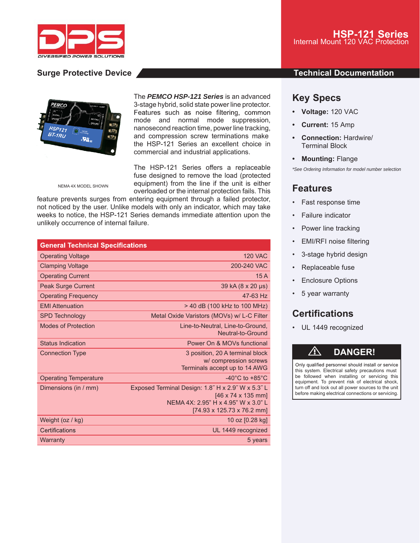

## **Surge Protective Device And According to the Contract Occupation Contract Occumentation**



The *PEMCO HSP-121 Series* is an advanced 3-stage hybrid, solid state power line protector. Features such as noise filtering, common mode and normal mode suppression, nanosecond reaction time, power line tracking, and compression screw terminations make the HSP-121 Series an excellent choice in commercial and industrial applications.

The HSP-121 Series offers a replaceable fuse designed to remove the load (protected equipment) from the line if the unit is either overloaded or the internal protection fails. This

NEMA 4X MODEL SHOWN

feature prevents surges from entering equipment through a failed protector, not noticed by the user. Unlike models with only an indicator, which may take weeks to notice, the HSP-121 Series demands immediate attention upon the unlikely occurrence of internal failure.

| <b>General Technical Specifications</b> |                                                                                                                                              |
|-----------------------------------------|----------------------------------------------------------------------------------------------------------------------------------------------|
| <b>Operating Voltage</b>                | <b>120 VAC</b>                                                                                                                               |
| <b>Clamping Voltage</b>                 | 200-240 VAC                                                                                                                                  |
| <b>Operating Current</b>                | 15A                                                                                                                                          |
| <b>Peak Surge Current</b>               | 39 kA (8 x 20 µs)                                                                                                                            |
| <b>Operating Frequency</b>              | 47-63 Hz                                                                                                                                     |
| <b>EMI Attenuation</b>                  | > 40 dB (100 kHz to 100 MHz)                                                                                                                 |
| <b>SPD Technology</b>                   | Metal Oxide Varistors (MOVs) w/ L-C Filter                                                                                                   |
| <b>Modes of Protection</b>              | Line-to-Neutral, Line-to-Ground,<br>Neutral-to-Ground                                                                                        |
| <b>Status Indication</b>                | Power On & MOVs functional                                                                                                                   |
| <b>Connection Type</b>                  | 3 position, 20 A terminal block<br>w/ compression screws<br>Terminals accept up to 14 AWG                                                    |
| <b>Operating Temperature</b>            | $-40^{\circ}$ C to $+85^{\circ}$ C                                                                                                           |
| Dimensions (in / mm)                    | Exposed Terminal Design: 1.8" H x 2.9" W x 5.3" L<br>[46 x 74 x 135 mm]<br>NEMA 4X: 2.95" H x 4.95" W x 3.0" L<br>[74.93 x 125.73 x 76.2 mm] |
| Weight (oz / kg)                        | 10 oz [0.28 kg]                                                                                                                              |
| Certifications                          | UL 1449 recognized                                                                                                                           |
| Warranty                                | 5 years                                                                                                                                      |

## **Key Specs**

- **Voltage:** 120 VAC
- **Current:** 15 Amp
- **Connection:** Hardwire/ Terminal Block
- **Mounting:** Flange

*\*See Ordering Information for model number selection*

## **Features**

- Fast response time
- Failure indicator
- Power line tracking
- EMI/RFI noise filtering
- 3-stage hybrid design
- Replaceable fuse
- **Enclosure Options**
- 5 year warranty

# **Certifications**

• UL 1449 recognized

# ⚠ **DANGER!**

Only qualified personnel should install or service this system. Electrical safety precautions must be followed when installing or servicing this equipment. To prevent risk of electrical shock, turn off and lock out all power sources to the unit before making electrical connections or servicing.